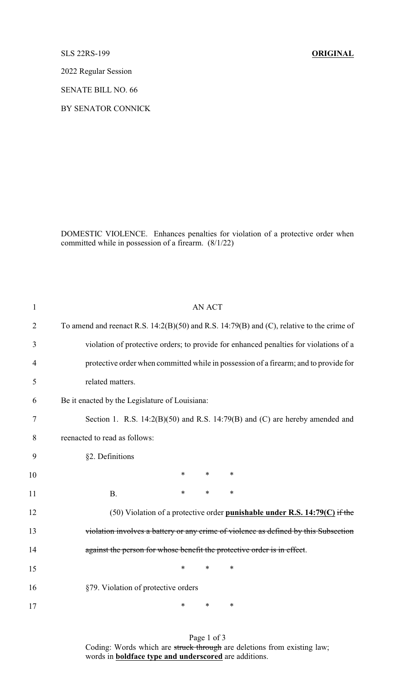SLS 22RS-199 **ORIGINAL**

2022 Regular Session

SENATE BILL NO. 66

BY SENATOR CONNICK

DOMESTIC VIOLENCE. Enhances penalties for violation of a protective order when committed while in possession of a firearm. (8/1/22)

| $\mathbf{1}$   | <b>AN ACT</b>                                                                                 |  |  |
|----------------|-----------------------------------------------------------------------------------------------|--|--|
| $\overline{2}$ | To amend and reenact R.S. $14:2(B)(50)$ and R.S. $14:79(B)$ and (C), relative to the crime of |  |  |
| 3              | violation of protective orders; to provide for enhanced penalties for violations of a         |  |  |
| 4              | protective order when committed while in possession of a firearm; and to provide for          |  |  |
| 5              | related matters.                                                                              |  |  |
| 6              | Be it enacted by the Legislature of Louisiana:                                                |  |  |
| 7              | Section 1. R.S. $14:2(B)(50)$ and R.S. $14:79(B)$ and (C) are hereby amended and              |  |  |
| 8              | reenacted to read as follows:                                                                 |  |  |
| 9              | §2. Definitions                                                                               |  |  |
| 10             | $\ast$<br>$\ast$<br>$\ast$                                                                    |  |  |
| 11             | $\ast$<br>*<br>$\ast$<br><b>B.</b>                                                            |  |  |
| 12             | (50) Violation of a protective order punishable under R.S. $14:79(C)$ if the                  |  |  |
| 13             | violation involves a battery or any crime of violence as defined by this Subsection           |  |  |
| 14             | against the person for whose benefit the protective order is in effect.                       |  |  |
| 15             | $\ast$<br>$\ast$<br>∗                                                                         |  |  |
| 16             | §79. Violation of protective orders                                                           |  |  |
| 17             | *<br>*<br>∗                                                                                   |  |  |

Page 1 of 3 Coding: Words which are struck through are deletions from existing law; words in **boldface type and underscored** are additions.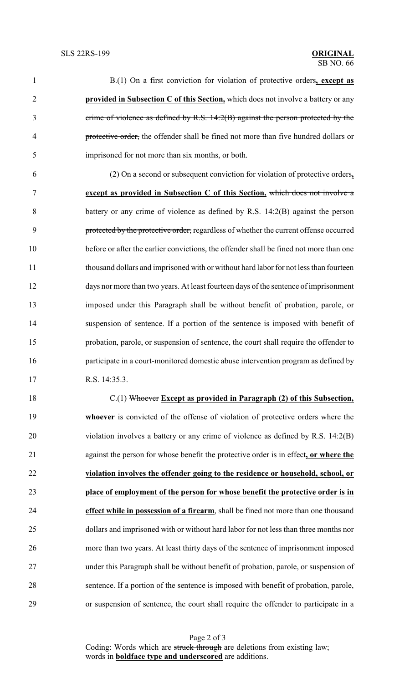B.(1) On a first conviction for violation of protective orders**, except as provided in Subsection C of this Section,** which does not involve a battery or any crime of violence as defined by R.S. 14:2(B) against the person protected by the protective order, the offender shall be fined not more than five hundred dollars or imprisoned for not more than six months, or both. (2) On a second or subsequent conviction for violation of protective orders**,**

 **except as provided in Subsection C of this Section,** which does not involve a 8 battery or any crime of violence as defined by R.S. 14:2(B) against the person 9 protected by the protective order, regardless of whether the current offense occurred before or after the earlier convictions, the offender shall be fined not more than one thousand dollars and imprisoned with or without hard labor for not less than fourteen days nor more than two years. At least fourteen days of the sentence of imprisonment imposed under this Paragraph shall be without benefit of probation, parole, or suspension of sentence. If a portion of the sentence is imposed with benefit of probation, parole, or suspension of sentence, the court shall require the offender to participate in a court-monitored domestic abuse intervention program as defined by R.S. 14:35.3.

 C.(1) Whoever **Except as provided in Paragraph (2) of this Subsection, whoever** is convicted of the offense of violation of protective orders where the violation involves a battery or any crime of violence as defined by R.S. 14:2(B) against the person for whose benefit the protective order is in effect**, or where the violation involves the offender going to the residence or household, school, or place of employment of the person for whose benefit the protective order is in effect while in possession of a firearm**, shall be fined not more than one thousand dollars and imprisoned with or without hard labor for not less than three months nor more than two years. At least thirty days of the sentence of imprisonment imposed under this Paragraph shall be without benefit of probation, parole, or suspension of sentence. If a portion of the sentence is imposed with benefit of probation, parole, or suspension of sentence, the court shall require the offender to participate in a

Page 2 of 3 Coding: Words which are struck through are deletions from existing law; words in **boldface type and underscored** are additions.